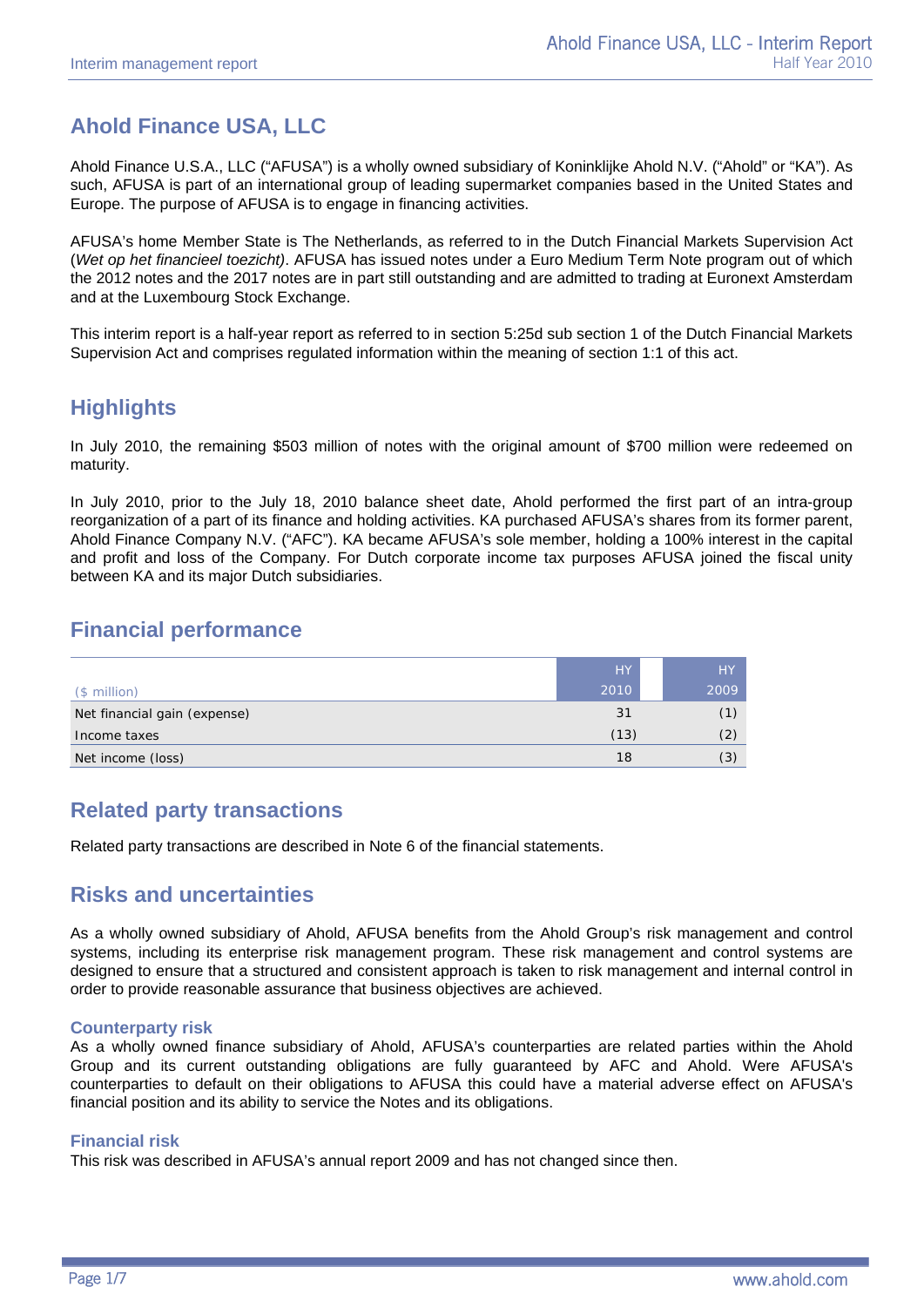# **Ahold Finance USA, LLC**

Ahold Finance U.S.A., LLC ("AFUSA") is a wholly owned subsidiary of Koninklijke Ahold N.V. ("Ahold" or "KA"). As such, AFUSA is part of an international group of leading supermarket companies based in the United States and Europe. The purpose of AFUSA is to engage in financing activities.

AFUSA's home Member State is The Netherlands, as referred to in the Dutch Financial Markets Supervision Act (*Wet op het financieel toezicht)*. AFUSA has issued notes under a Euro Medium Term Note program out of which the 2012 notes and the 2017 notes are in part still outstanding and are admitted to trading at Euronext Amsterdam and at the Luxembourg Stock Exchange.

This interim report is a half-year report as referred to in section 5:25d sub section 1 of the Dutch Financial Markets Supervision Act and comprises regulated information within the meaning of section 1:1 of this act.

## **Highlights**

In July 2010, the remaining \$503 million of notes with the original amount of \$700 million were redeemed on maturity.

In July 2010, prior to the July 18, 2010 balance sheet date, Ahold performed the first part of an intra-group reorganization of a part of its finance and holding activities. KA purchased AFUSA's shares from its former parent, Ahold Finance Company N.V. ("AFC"). KA became AFUSA's sole member, holding a 100% interest in the capital and profit and loss of the Company. For Dutch corporate income tax purposes AFUSA joined the fiscal unity between KA and its major Dutch subsidiaries.

## **Financial performance**

|                              | <b>HY</b> | <b>HY</b> |
|------------------------------|-----------|-----------|
| $$$ million)                 | 2010      | 2009      |
| Net financial gain (expense) | 31        | (1)       |
| Income taxes                 | (13)      | (2)       |
| Net income (loss)            | 18        | (3)       |

## **Related party transactions**

Related party transactions are described in Note 6 of the financial statements.

### **Risks and uncertainties**

As a wholly owned subsidiary of Ahold, AFUSA benefits from the Ahold Group's risk management and control systems, including its enterprise risk management program. These risk management and control systems are designed to ensure that a structured and consistent approach is taken to risk management and internal control in order to provide reasonable assurance that business objectives are achieved.

### **Counterparty risk**

As a wholly owned finance subsidiary of Ahold, AFUSA's counterparties are related parties within the Ahold Group and its current outstanding obligations are fully guaranteed by AFC and Ahold. Were AFUSA's counterparties to default on their obligations to AFUSA this could have a material adverse effect on AFUSA's financial position and its ability to service the Notes and its obligations.

### **Financial risk**

This risk was described in AFUSA's annual report 2009 and has not changed since then.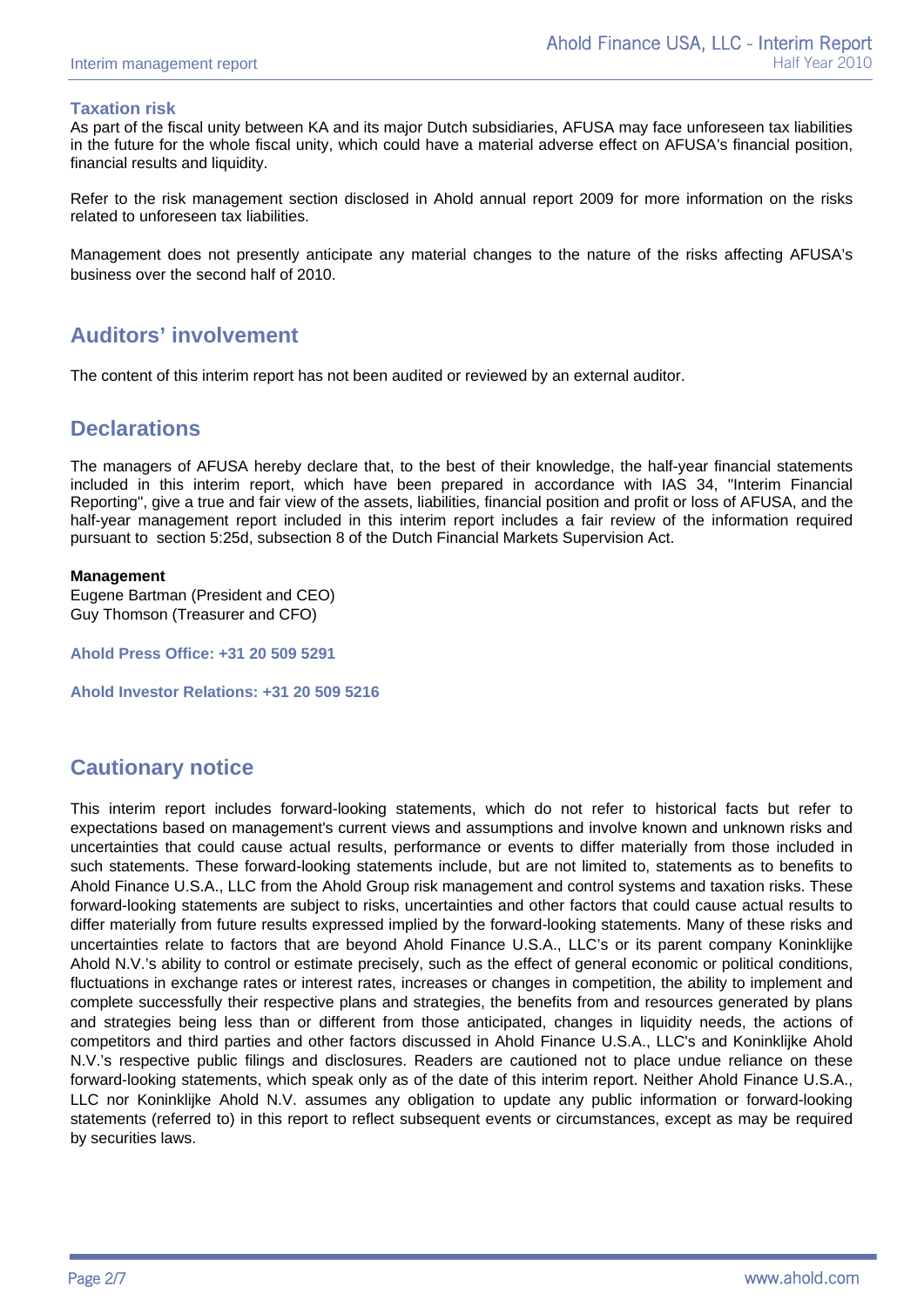### **Taxation risk**

As part of the fiscal unity between KA and its major Dutch subsidiaries, AFUSA may face unforeseen tax liabilities in the future for the whole fiscal unity, which could have a material adverse effect on AFUSA's financial position, financial results and liquidity.

Refer to the risk management section disclosed in Ahold annual report 2009 for more information on the risks related to unforeseen tax liabilities.

Management does not presently anticipate any material changes to the nature of the risks affecting AFUSA's business over the second half of 2010.

## **Auditors' involvement**

The content of this interim report has not been audited or reviewed by an external auditor.

## **Declarations**

The managers of AFUSA hereby declare that, to the best of their knowledge, the half-year financial statements included in this interim report, which have been prepared in accordance with IAS 34, "Interim Financial Reporting", give a true and fair view of the assets, liabilities, financial position and profit or loss of AFUSA, and the half-year management report included in this interim report includes a fair review of the information required pursuant to section 5:25d, subsection 8 of the Dutch Financial Markets Supervision Act.

### **Management**

Eugene Bartman (President and CEO) Guy Thomson (Treasurer and CFO)

**Ahold Press Office: +31 20 509 5291**

**Ahold Investor Relations: +31 20 509 5216** 

## **Cautionary notice**

This interim report includes forward-looking statements, which do not refer to historical facts but refer to expectations based on management's current views and assumptions and involve known and unknown risks and uncertainties that could cause actual results, performance or events to differ materially from those included in such statements. These forward-looking statements include, but are not limited to, statements as to benefits to Ahold Finance U.S.A., LLC from the Ahold Group risk management and control systems and taxation risks. These forward-looking statements are subject to risks, uncertainties and other factors that could cause actual results to differ materially from future results expressed implied by the forward-looking statements. Many of these risks and uncertainties relate to factors that are beyond Ahold Finance U.S.A., LLC's or its parent company Koninklijke Ahold N.V.'s ability to control or estimate precisely, such as the effect of general economic or political conditions, fluctuations in exchange rates or interest rates, increases or changes in competition, the ability to implement and complete successfully their respective plans and strategies, the benefits from and resources generated by plans and strategies being less than or different from those anticipated, changes in liquidity needs, the actions of competitors and third parties and other factors discussed in Ahold Finance U.S.A., LLC's and Koninklijke Ahold N.V.'s respective public filings and disclosures. Readers are cautioned not to place undue reliance on these forward-looking statements, which speak only as of the date of this interim report. Neither Ahold Finance U.S.A., LLC nor Koninklijke Ahold N.V. assumes any obligation to update any public information or forward-looking statements (referred to) in this report to reflect subsequent events or circumstances, except as may be required by securities laws.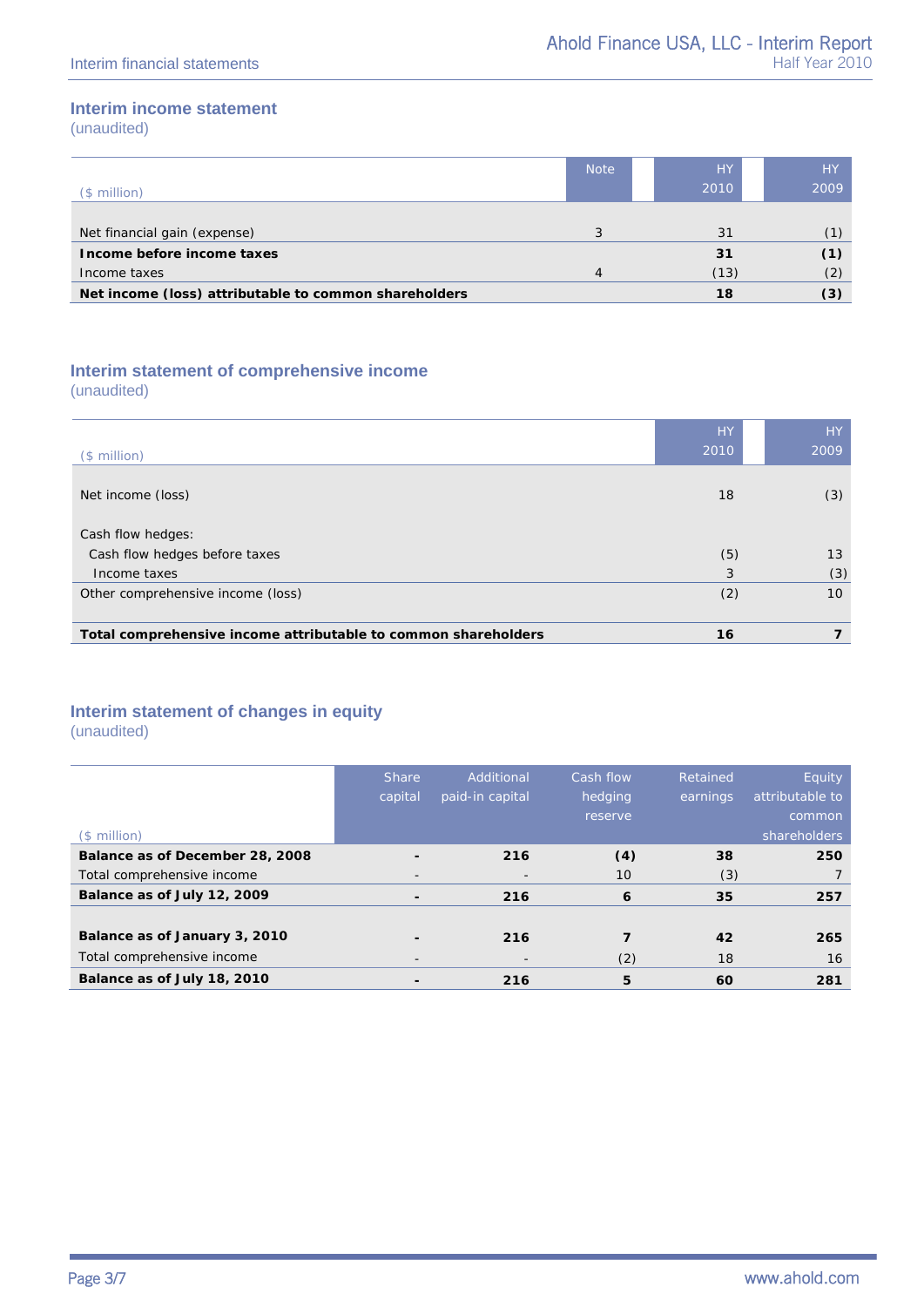### **Interim income statement**

(unaudited)

|                                                       | <b>Note</b> | <b>HY</b> | HY   |
|-------------------------------------------------------|-------------|-----------|------|
| $$$ million)                                          |             | 2010      | 2009 |
|                                                       |             |           |      |
| Net financial gain (expense)                          |             | 31        |      |
| Income before income taxes                            |             | 31        | (1)  |
| Income taxes                                          | 4           | (13)      | (2)  |
| Net income (loss) attributable to common shareholders |             | 18        | (3)  |

### **Interim statement of comprehensive income**

(unaudited)

| $($$ million $)$                                               | <b>HY</b><br>2010 | <b>HY</b><br>2009 |
|----------------------------------------------------------------|-------------------|-------------------|
| Net income (loss)                                              | 18                | (3)               |
| Cash flow hedges:<br>Cash flow hedges before taxes             | (5)               | 13                |
| Income taxes                                                   | 3                 | (3)               |
| Other comprehensive income (loss)                              | (2)               | 10 <sup>°</sup>   |
|                                                                |                   |                   |
| Total comprehensive income attributable to common shareholders | 16                |                   |

### **Interim statement of changes in equity**

(unaudited)

|                                 | <b>Share</b>             | Additional      | Cash flow | Retained | Equity          |
|---------------------------------|--------------------------|-----------------|-----------|----------|-----------------|
|                                 | capital                  | paid-in capital | hedging   | earnings | attributable to |
|                                 |                          |                 | reserve   |          | common          |
| $($$ million $)$                |                          |                 |           |          | shareholders    |
| Balance as of December 28, 2008 |                          | 216             | (4)       | 38       | 250             |
| Total comprehensive income      | -                        |                 | 10        | (3)      |                 |
| Balance as of July 12, 2009     | $\blacksquare$           | 216             | 6         | 35       | 257             |
|                                 |                          |                 |           |          |                 |
| Balance as of January 3, 2010   |                          | 216             |           | 42       | 265             |
| Total comprehensive income      | $\overline{\phantom{a}}$ |                 | (2)       | 18       | 16              |
| Balance as of July 18, 2010     |                          | 216             | 5         | 60       | 281             |
|                                 |                          |                 |           |          |                 |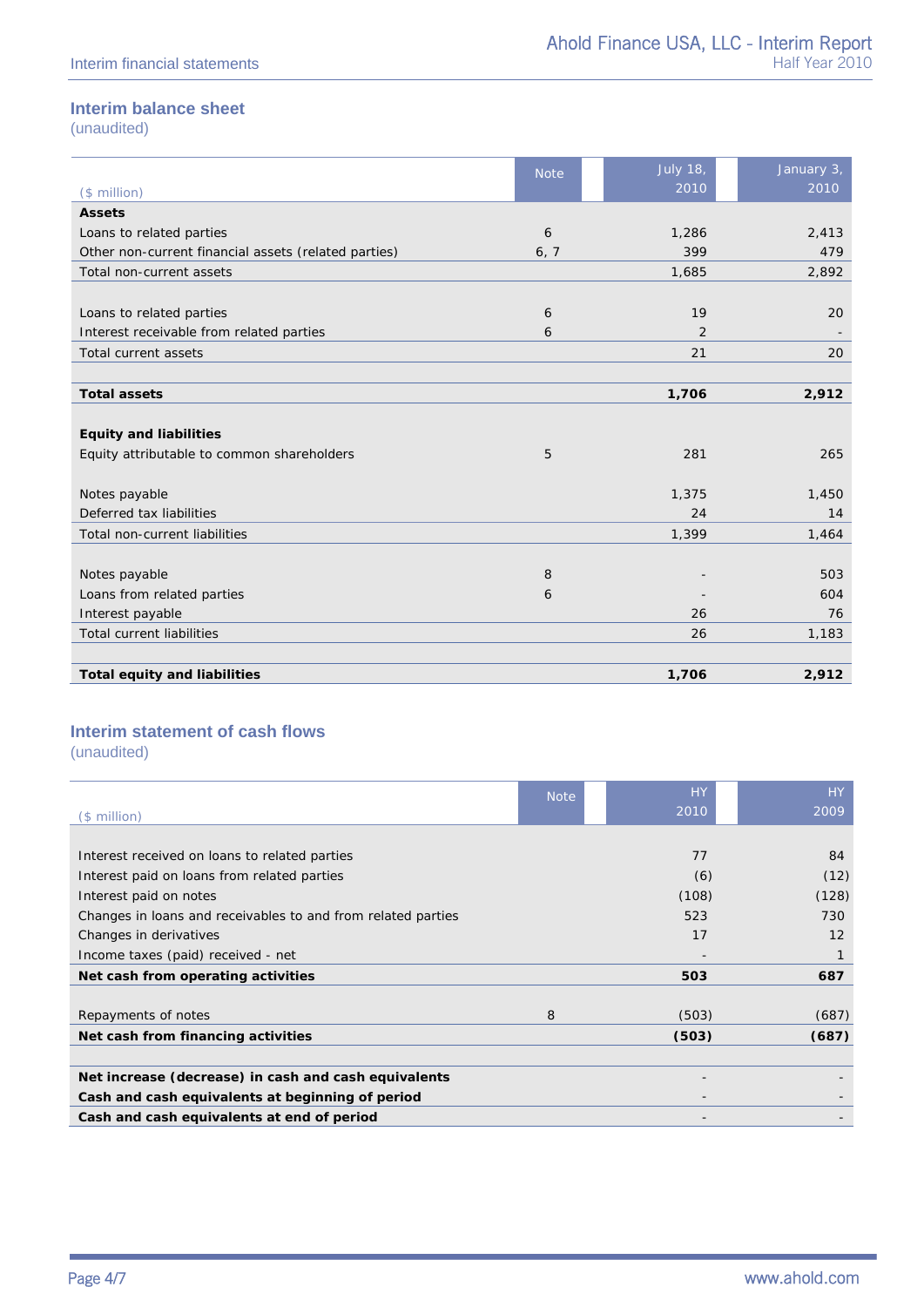### **Interim balance sheet**

(unaudited)

|                                                      | <b>Note</b> | <b>July 18,</b> | January 3, |
|------------------------------------------------------|-------------|-----------------|------------|
| (\$ million)                                         |             | 2010            | 2010       |
| <b>Assets</b>                                        |             |                 |            |
| Loans to related parties                             | 6           | 1,286           | 2,413      |
| Other non-current financial assets (related parties) | 6, 7        | 399             | 479        |
| Total non-current assets                             |             | 1,685           | 2,892      |
|                                                      |             |                 |            |
| Loans to related parties                             | 6           | 19              | 20         |
| Interest receivable from related parties             | 6           | 2               |            |
| Total current assets                                 |             | 21              | 20         |
|                                                      |             |                 |            |
| <b>Total assets</b>                                  |             | 1,706           | 2,912      |
|                                                      |             |                 |            |
| <b>Equity and liabilities</b>                        |             |                 |            |
| Equity attributable to common shareholders           | 5           | 281             | 265        |
|                                                      |             |                 |            |
| Notes payable                                        |             | 1,375           | 1,450      |
| Deferred tax liabilities                             |             | 24              | 14         |
| Total non-current liabilities                        |             | 1,399           | 1,464      |
|                                                      |             |                 |            |
| Notes payable                                        | 8           |                 | 503        |
| Loans from related parties                           | 6           |                 | 604        |
| Interest payable                                     |             | 26              | 76         |
| <b>Total current liabilities</b>                     |             | 26              | 1,183      |
|                                                      |             |                 |            |
| <b>Total equity and liabilities</b>                  |             | 1,706           | 2,912      |

### **Interim statement of cash flows**

(unaudited)

|                                                              | <b>Note</b> | <b>HY</b> | HY.               |
|--------------------------------------------------------------|-------------|-----------|-------------------|
| $($$ million $)$                                             |             | 2010      | 2009              |
|                                                              |             |           |                   |
| Interest received on loans to related parties                |             | 77        | 84                |
| Interest paid on loans from related parties                  |             | (6)       | (12)              |
| Interest paid on notes                                       |             | (108)     | (128)             |
| Changes in loans and receivables to and from related parties |             | 523       | 730               |
| Changes in derivatives                                       |             | 17        | $12 \overline{ }$ |
| Income taxes (paid) received - net                           |             |           |                   |
| Net cash from operating activities                           |             | 503       | 687               |
|                                                              |             |           |                   |
| Repayments of notes                                          | 8           | (503)     | (687)             |
| Net cash from financing activities                           |             | (503)     | (687)             |
|                                                              |             |           |                   |
| Net increase (decrease) in cash and cash equivalents         |             |           |                   |
| Cash and cash equivalents at beginning of period             |             |           |                   |
| Cash and cash equivalents at end of period                   |             |           |                   |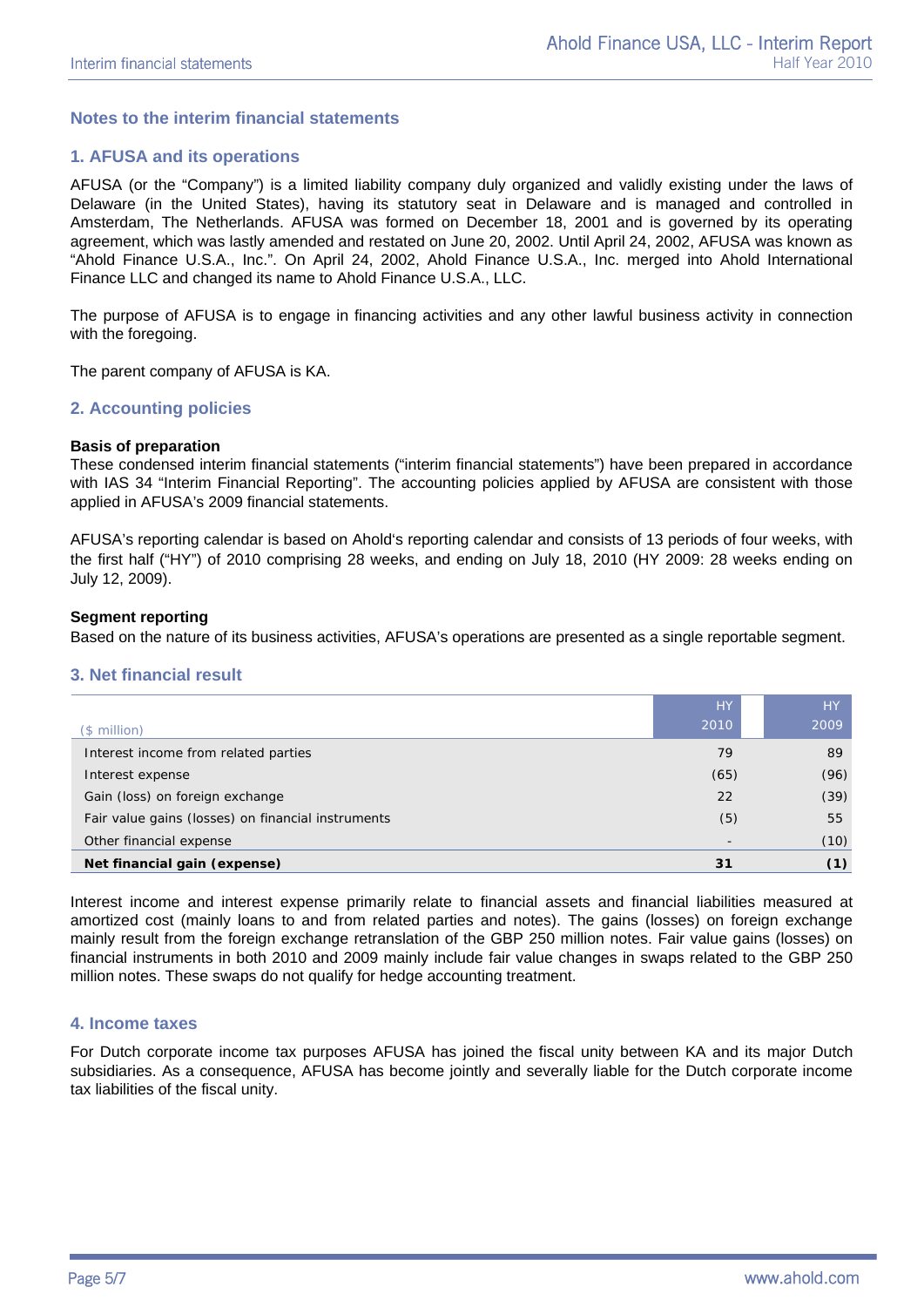### **Notes to the interim financial statements**

### **1. AFUSA and its operations**

AFUSA (or the "Company") is a limited liability company duly organized and validly existing under the laws of Delaware (in the United States), having its statutory seat in Delaware and is managed and controlled in Amsterdam, The Netherlands. AFUSA was formed on December 18, 2001 and is governed by its operating agreement, which was lastly amended and restated on June 20, 2002. Until April 24, 2002, AFUSA was known as "Ahold Finance U.S.A., Inc.". On April 24, 2002, Ahold Finance U.S.A., Inc. merged into Ahold International Finance LLC and changed its name to Ahold Finance U.S.A., LLC.

The purpose of AFUSA is to engage in financing activities and any other lawful business activity in connection with the foregoing.

The parent company of AFUSA is KA.

### **2. Accounting policies**

#### **Basis of preparation**

These condensed interim financial statements ("interim financial statements") have been prepared in accordance with IAS 34 "Interim Financial Reporting". The accounting policies applied by AFUSA are consistent with those applied in AFUSA's 2009 financial statements.

AFUSA's reporting calendar is based on Ahold's reporting calendar and consists of 13 periods of four weeks, with the first half ("HY") of 2010 comprising 28 weeks, and ending on July 18, 2010 (HY 2009: 28 weeks ending on July 12, 2009).

### **Segment reporting**

Based on the nature of its business activities, AFUSA's operations are presented as a single reportable segment.

#### **3. Net financial result**

|                                                    | <b>HY</b>                | <b>HY</b> |
|----------------------------------------------------|--------------------------|-----------|
| $$$ million)                                       | 2010                     | 2009      |
| Interest income from related parties               | 79                       | 89        |
| Interest expense                                   | (65)                     | (96)      |
| Gain (loss) on foreign exchange                    | 22                       | (39)      |
| Fair value gains (losses) on financial instruments | (5)                      | 55        |
| Other financial expense                            | $\overline{\phantom{0}}$ | (10)      |
| Net financial gain (expense)                       | 31                       | (1)       |

Interest income and interest expense primarily relate to financial assets and financial liabilities measured at amortized cost (mainly loans to and from related parties and notes). The gains (losses) on foreign exchange mainly result from the foreign exchange retranslation of the GBP 250 million notes. Fair value gains (losses) on financial instruments in both 2010 and 2009 mainly include fair value changes in swaps related to the GBP 250 million notes. These swaps do not qualify for hedge accounting treatment.

#### **4. Income taxes**

For Dutch corporate income tax purposes AFUSA has joined the fiscal unity between KA and its major Dutch subsidiaries. As a consequence, AFUSA has become jointly and severally liable for the Dutch corporate income tax liabilities of the fiscal unity.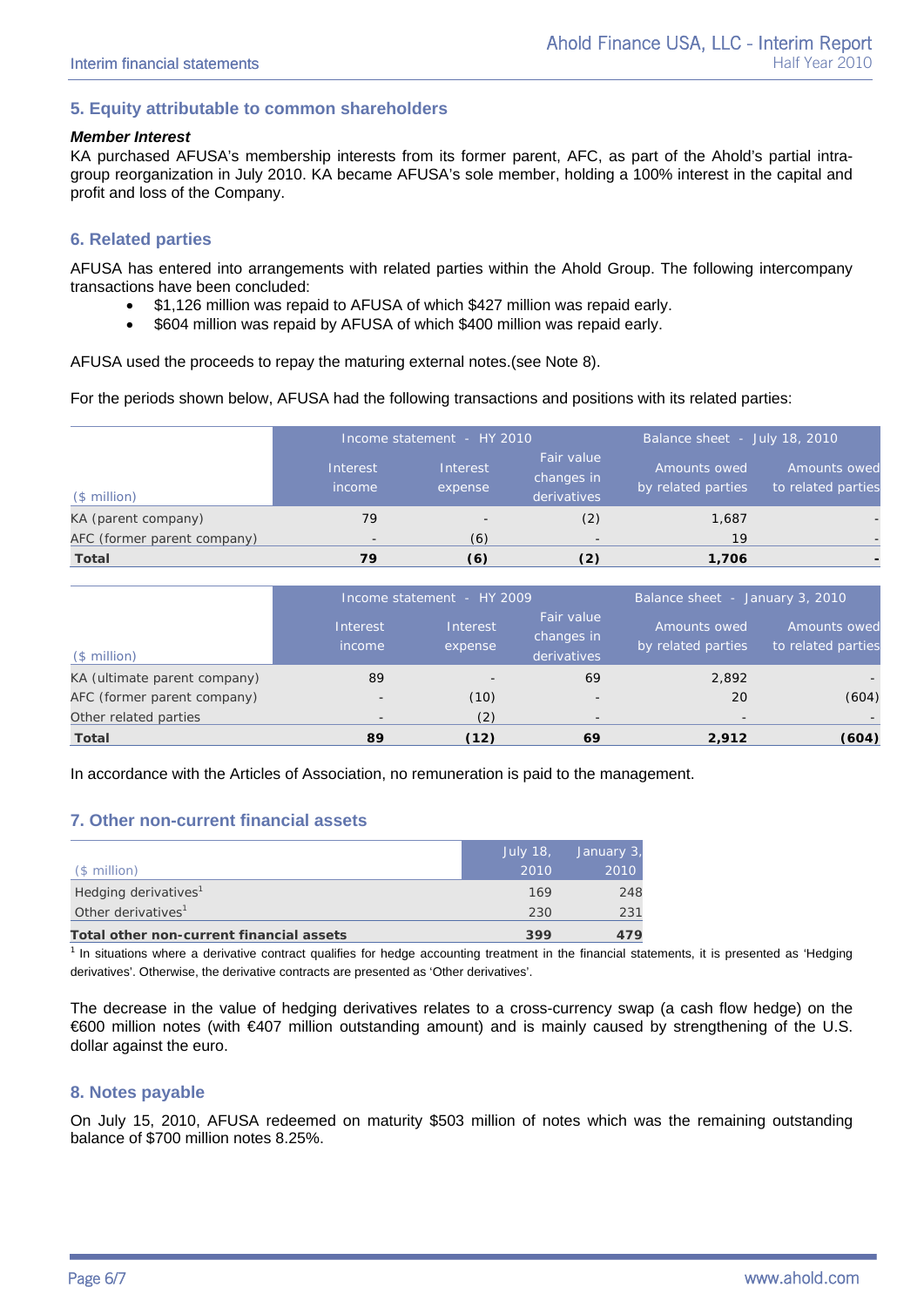### **5. Equity attributable to common shareholders**

#### *Member Interest*

KA purchased AFUSA's membership interests from its former parent, AFC, as part of the Ahold's partial intragroup reorganization in July 2010. KA became AFUSA's sole member, holding a 100% interest in the capital and profit and loss of the Company.

### **6. Related parties**

AFUSA has entered into arrangements with related parties within the Ahold Group. The following intercompany transactions have been concluded:

- \$1,126 million was repaid to AFUSA of which \$427 million was repaid early.
- \$604 million was repaid by AFUSA of which \$400 million was repaid early.

AFUSA used the proceeds to repay the maturing external notes.(see Note 8).

For the periods shown below, AFUSA had the following transactions and positions with its related parties:

|                             | Income statement - HY 2010 |                          |                                         |                                    | Balance sheet - July 18, 2010      |  |  |
|-----------------------------|----------------------------|--------------------------|-----------------------------------------|------------------------------------|------------------------------------|--|--|
| $($$ million $)$            | Interest<br>income         | Interest<br>expense      | Fair value<br>changes in<br>derivatives | Amounts owed<br>by related parties | Amounts owed<br>to related parties |  |  |
| KA (parent company)         | 79                         | $\overline{\phantom{a}}$ | (2)                                     | 1,687                              | $\qquad \qquad -$                  |  |  |
| AFC (former parent company) |                            | (6)                      | $\overline{\phantom{a}}$                | 19                                 | $\qquad \qquad -$                  |  |  |
| Total                       | 79                         | (6)                      | (2)                                     | 1,706                              |                                    |  |  |

|                              | Income statement - HY 2009 |                     |                                         |                                    | Balance sheet - January 3, 2010    |  |
|------------------------------|----------------------------|---------------------|-----------------------------------------|------------------------------------|------------------------------------|--|
| $$$ million)                 | Interest<br>income         | Interest<br>expense | Fair value<br>changes in<br>derivatives | Amounts owed<br>by related parties | Amounts owed<br>to related parties |  |
| KA (ultimate parent company) | 89                         |                     | 69                                      | 2.892                              |                                    |  |
| AFC (former parent company)  | $\overline{\phantom{0}}$   | (10)                | $\overline{\phantom{0}}$                | 20                                 | (604)                              |  |
| Other related parties        |                            | (2)                 | $\overline{\phantom{0}}$                | $\overline{\phantom{a}}$           |                                    |  |
| <b>Total</b>                 | 89                         | (12)                | 69                                      | 2,912                              | (604)                              |  |

In accordance with the Articles of Association, no remuneration is paid to the management.

### **7. Other non-current financial assets**

|                                          | <b>July 18,</b> | January 3, |
|------------------------------------------|-----------------|------------|
| $$$ million)                             | 2010            | 2010       |
| Hedging derivatives <sup>1</sup>         | 169             | 248        |
| Other derivatives <sup>1</sup>           | 230             | 231        |
| Total other non-current financial assets | 399             | 479        |

 $1$  In situations where a derivative contract qualifies for hedge accounting treatment in the financial statements, it is presented as 'Hedging derivatives'. Otherwise, the derivative contracts are presented as 'Other derivatives'.

The decrease in the value of hedging derivatives relates to a cross-currency swap (a cash flow hedge) on the €600 million notes (with €407 million outstanding amount) and is mainly caused by strengthening of the U.S. dollar against the euro.

### **8. Notes payable**

On July 15, 2010, AFUSA redeemed on maturity \$503 million of notes which was the remaining outstanding balance of \$700 million notes 8.25%.